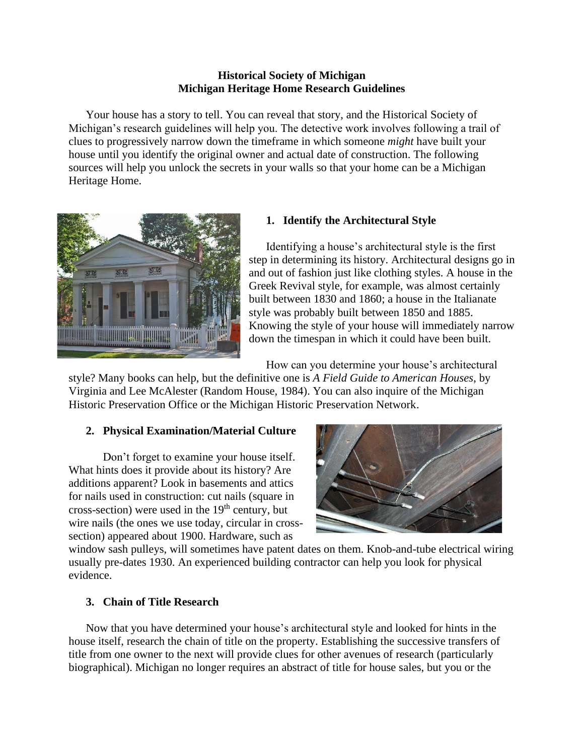## **Historical Society of Michigan Michigan Heritage Home Research Guidelines**

Your house has a story to tell. You can reveal that story, and the Historical Society of Michigan's research guidelines will help you. The detective work involves following a trail of clues to progressively narrow down the timeframe in which someone *might* have built your house until you identify the original owner and actual date of construction. The following sources will help you unlock the secrets in your walls so that your home can be a Michigan Heritage Home.



# **1. Identify the Architectural Style**

Identifying a house's architectural style is the first step in determining its history. Architectural designs go in and out of fashion just like clothing styles. A house in the Greek Revival style, for example, was almost certainly built between 1830 and 1860; a house in the Italianate style was probably built between 1850 and 1885. Knowing the style of your house will immediately narrow down the timespan in which it could have been built.

How can you determine your house's architectural

style? Many books can help, but the definitive one is *A Field Guide to American Houses*, by Virginia and Lee McAlester (Random House, 1984). You can also inquire of the Michigan Historic Preservation Office or the Michigan Historic Preservation Network.

# **2. Physical Examination/Material Culture**

Don't forget to examine your house itself. What hints does it provide about its history? Are additions apparent? Look in basements and attics for nails used in construction: cut nails (square in cross-section) were used in the  $19<sup>th</sup>$  century, but wire nails (the ones we use today, circular in crosssection) appeared about 1900. Hardware, such as



window sash pulleys, will sometimes have patent dates on them. Knob-and-tube electrical wiring usually pre-dates 1930. An experienced building contractor can help you look for physical evidence.

# **3. Chain of Title Research**

Now that you have determined your house's architectural style and looked for hints in the house itself, research the chain of title on the property. Establishing the successive transfers of title from one owner to the next will provide clues for other avenues of research (particularly biographical). Michigan no longer requires an abstract of title for house sales, but you or the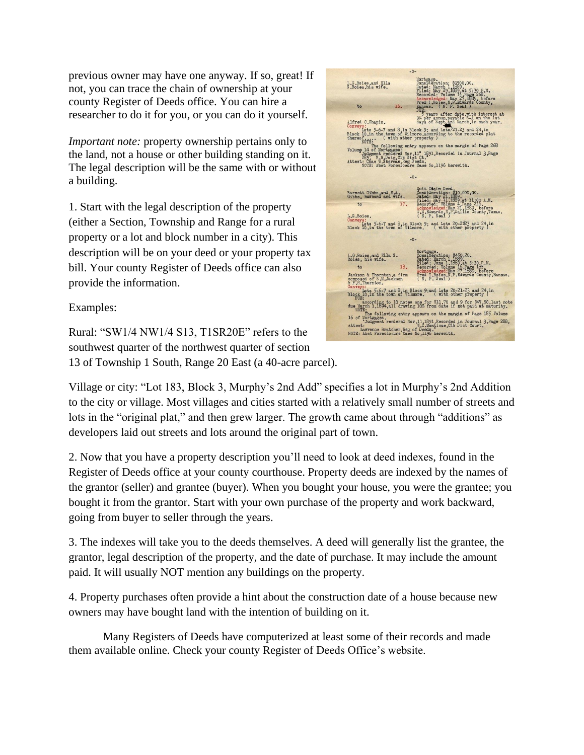previous owner may have one anyway. If so, great! If not, you can trace the chain of ownership at your county Register of Deeds office. You can hire a researcher to do it for you, or you can do it yourself.

*Important note:* property ownership pertains only to the land, not a house or other building standing on it. The legal description will be the same with or without a building.

1. Start with the legal description of the property (either a Section, Township and Range for a rural property or a lot and block number in a city). This description will be on your deed or your property tax bill. Your county Register of Deeds office can also provide the information.

Examples:

Rural: "SW1/4 NW1/4 S13, T1SR20E" refers to the southwest quarter of the northwest quarter of section 13 of Township 1 South, Range 20 East (a 40-acre parcel).



Village or city: "Lot 183, Block 3, Murphy's 2nd Add" specifies a lot in Murphy's 2nd Addition to the city or village. Most villages and cities started with a relatively small number of streets and lots in the "original plat," and then grew larger. The growth came about through "additions" as developers laid out streets and lots around the original part of town.

2. Now that you have a property description you'll need to look at deed indexes, found in the Register of Deeds office at your county courthouse. Property deeds are indexed by the names of the grantor (seller) and grantee (buyer). When you bought your house, you were the grantee; you bought it from the grantor. Start with your own purchase of the property and work backward, going from buyer to seller through the years.

3. The indexes will take you to the deeds themselves. A deed will generally list the grantee, the grantor, legal description of the property, and the date of purchase. It may include the amount paid. It will usually NOT mention any buildings on the property.

4. Property purchases often provide a hint about the construction date of a house because new owners may have bought land with the intention of building on it.

Many Registers of Deeds have computerized at least some of their records and made them available online. Check your county Register of Deeds Office's website.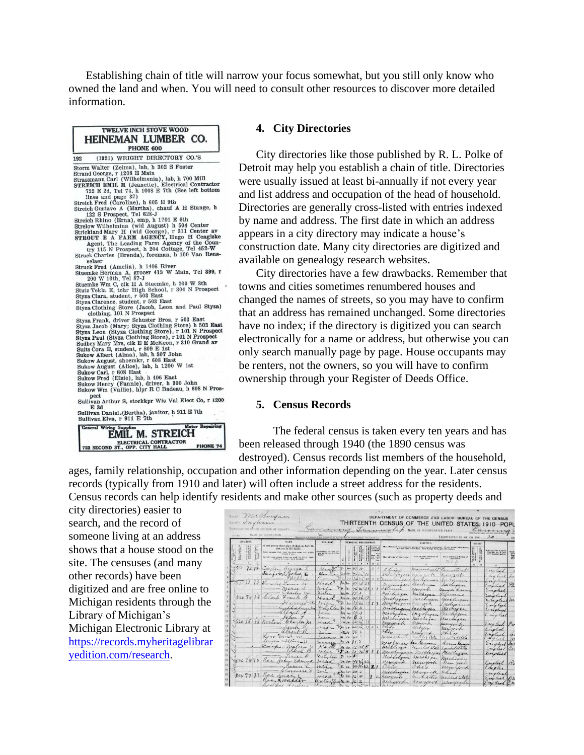Establishing chain of title will narrow your focus somewhat, but you still only know who owned the land and when. You will need to consult other resources to discover more detailed information.



#### **4. City Directories**

City directories like those published by R. L. Polke of Detroit may help you establish a chain of title. Directories were usually issued at least bi-annually if not every year and list address and occupation of the head of household. Directories are generally cross-listed with entries indexed by name and address. The first date in which an address appears in a city directory may indicate a house's construction date. Many city directories are digitized and available on genealogy research websites.

City directories have a few drawbacks. Remember that towns and cities sometimes renumbered houses and changed the names of streets, so you may have to confirm that an address has remained unchanged. Some directories have no index; if the directory is digitized you can search electronically for a name or address, but otherwise you can only search manually page by page. House occupants may be renters, not the owners, so you will have to confirm ownership through your Register of Deeds Office.

#### **5. Census Records**

The federal census is taken every ten years and has been released through 1940 (the 1890 census was destroyed). Census records list members of the household,

ages, family relationship, occupation and other information depending on the year. Later census records (typically from 1910 and later) will often include a street address for the residents. Census records can help identify residents and make other sources (such as property deeds and

city directories) easier to search, and the record of someone living at an address shows that a house stood on the site. The censuses (and many other records) have been digitized and are free online to Michigan residents through the Library of Michigan's Michigan Electronic Library at [https://records.myheritagelibrar](https://records.myheritagelibraryedition.com/research) [yedition.com/research.](https://records.myheritagelibraryedition.com/research)

| <b>STATE</b> | michigan<br>Undham |                                                                                                          | DEPARTMENT OF COMMERCE AND LABOR BUREAU OF THE CENSUS<br><b>CENSUS</b><br>THE UNITED<br>OF<br>STATES:<br>191C<br>POPL<br>and developed the back<br><b>NAME</b><br>OF INCORPORATED PLACE<br>Garma |                               |                       |  |                                           |                                                                                                                                                                       |                                             |                                                                      |           |                   |                                                                      |            |
|--------------|--------------------|----------------------------------------------------------------------------------------------------------|--------------------------------------------------------------------------------------------------------------------------------------------------------------------------------------------------|-------------------------------|-----------------------|--|-------------------------------------------|-----------------------------------------------------------------------------------------------------------------------------------------------------------------------|---------------------------------------------|----------------------------------------------------------------------|-----------|-------------------|----------------------------------------------------------------------|------------|
| LOCATION.    |                    | <b>NAME</b>                                                                                              | and its fourte that finance on which this stations are aboute. Any hands cotta<br>RELATION.                                                                                                      |                               | PERSONAL DESCRIPTION. |  |                                           |                                                                                                                                                                       | <b>NATIVITY.</b>                            | ENUMERATED BY ME ON THE                                              |           | <b>CRISSISCHE</b> |                                                                      |            |
|              | δ×.                | of each person whose place of abode on April 15,<br>1910, was in this family,                            |                                                                                                                                                                                                  |                               |                       |  | Rusher of<br>hon mear<br>children         | Place of high of sach power and powerts of each person excessment. If here is the United States, give the visite or territory. If of fourign birth, give the country. |                                             |                                                                      |           |                   |                                                                      |            |
|              |                    | have assume first, then the gives some and middle<br>include crory person living on April 15, 1910. Only | Relationship of this por-<br>ann is the head of the<br>family.                                                                                                                                   |                               |                       |  | Ver<br>fore<br>for<br>Title<br>14<br>**** | Flate of Meth of this Funds.                                                                                                                                          | Place of Meth of Father of<br>this process. | Tate of Moth of Mother of<br><b>Eftie person</b><br>$n_{\rm U}$<br>Δ | 382       |                   | Inches able to speak<br>English: er, if msi,<br>eine bengungespeken. |            |
|              |                    |                                                                                                          | $\cdot$                                                                                                                                                                                          |                               |                       |  | $10 - 11$                                 | $\mathbf{z}$                                                                                                                                                          | 319                                         | 14                                                                   | $\lambda$ | 36                | $19 -$                                                               |            |
|              | 72.72              | Jaylon<br>unia L                                                                                         | Hen.                                                                                                                                                                                             |                               |                       |  |                                           | Champion                                                                                                                                                              | neassachuse                                 | Commission                                                           |           |                   | Material.                                                            |            |
|              |                    | Samfond<br>when to                                                                                       |                                                                                                                                                                                                  | $40-$<br>$\frac{1}{2}$        |                       |  |                                           | MACLICA                                                                                                                                                               | never                                       | every                                                                |           |                   | 611                                                                  |            |
|              | <b>Manzine</b>     |                                                                                                          |                                                                                                                                                                                                  | $\mathcal{H}$<br>$L_{1}$      |                       |  |                                           |                                                                                                                                                                       |                                             |                                                                      |           |                   |                                                                      |            |
|              |                    |                                                                                                          | h                                                                                                                                                                                                |                               | m23<br>96             |  |                                           |                                                                                                                                                                       | michrocen<br>Kezurny                        | suchapare                                                            |           |                   | Comelial                                                             |            |
|              |                    | narles                                                                                                   | 5.                                                                                                                                                                                               | In 2                          | ь                     |  |                                           | $4\pi$                                                                                                                                                                | Michigan                                    | Canele Ecrona<br>Munns                                               |           |                   | Englist                                                              |            |
| 5267474      |                    | Carp<br>Frank                                                                                            | Head                                                                                                                                                                                             | $n_{\ell}$ is                 | 4111                  |  |                                           | nelization                                                                                                                                                            | minigno                                     | Machingan                                                            |           |                   | Laurent<br>Cuotes                                                    | m.         |
|              |                    |                                                                                                          | $2 - 1$                                                                                                                                                                                          | h                             |                       |  | 37                                        | rinithu                                                                                                                                                               | www.h                                       | ndia                                                                 |           |                   | Zuglich                                                              |            |
|              |                    |                                                                                                          | Drighter                                                                                                                                                                                         | <b>z</b><br>H                 | 163                   |  |                                           | michigan Michigan                                                                                                                                                     |                                             | nickeren                                                             |           |                   | Longland                                                             |            |
|              |                    | $l4h + k$                                                                                                | $2 - 1$                                                                                                                                                                                          | $m_{\rm H}$                   | 133                   |  |                                           | machingan                                                                                                                                                             | <i>LAS Dingan</i>                           | Ki higun                                                             |           |                   | $C_{11}$ of lead                                                     |            |
| 52075        |                    | Than J                                                                                                   | $\lambda$                                                                                                                                                                                        | m h                           | $\mathcal{C}$         |  |                                           | michigan                                                                                                                                                              | michain                                     | thechigan                                                            |           |                   |                                                                      |            |
|              | 75                 | Charles M                                                                                                | rickd                                                                                                                                                                                            | miller.                       | 62h                   |  |                                           | negyet                                                                                                                                                                | Reservont                                   | ningert                                                              |           |                   | conglial                                                             | $\sqrt{2}$ |
|              |                    | albert-1                                                                                                 | 7.444                                                                                                                                                                                            | $H$ in                        | 60h                   |  | $\mathbf{z}$<br>$\lambda$                 | Ohilo<br>chio                                                                                                                                                         | newson                                      | newyork                                                              |           |                   | English                                                              |            |
|              |                    | an David w                                                                                               | $\sum_{k=1}^n$                                                                                                                                                                                   | in h<br>m w                   | 36s<br>45             |  |                                           | massachusts                                                                                                                                                           | neuros                                      | H<br>$\cdot$                                                         |           |                   | Cuplish                                                              |            |
|              |                    | Causan William H                                                                                         | tommer<br>Common                                                                                                                                                                                 |                               | $4 - 345$             |  |                                           |                                                                                                                                                                       | united state                                | initidade                                                            |           |                   | styles.                                                              |            |
|              |                    | en his malcom                                                                                            | read                                                                                                                                                                                             | w<br>$\mathcal{H}$            | $n_{\rm s}$           |  |                                           | newtone<br>michigan                                                                                                                                                   | En German                                   | 4 cran Ferman                                                        |           |                   | Englist                                                              | dar        |
|              |                    | the                                                                                                      | mila                                                                                                                                                                                             |                               | $m \approx m'$        |  |                                           | moetrzam                                                                                                                                                              | united state<br>nuen                        | undedstalle                                                          |           |                   | noted                                                                |            |
|              |                    | crees a                                                                                                  | Danilla                                                                                                                                                                                          | $\mathbb{Z}$<br>$\frac{1}{2}$ | ×.                    |  |                                           | Militagan                                                                                                                                                             | 41<br>mohisa                                |                                                                      |           |                   | Inglise                                                              |            |
| 367676       | Kae                |                                                                                                          | Michall                                                                                                                                                                                          | $n_{\nu}$                     | 41122                 |  |                                           | newyork                                                                                                                                                               | newyork                                     | Michigan<br>near you                                                 |           |                   | Corotial                                                             | P.         |
|              |                    |                                                                                                          | wis                                                                                                                                                                                              | u                             | 4442221               |  |                                           | Vain                                                                                                                                                                  | $\sigma_{n}$<br>'o                          | numberta                                                             |           |                   | Crigles                                                              |            |
|              |                    | were                                                                                                     | $2 + i$                                                                                                                                                                                          | 124                           |                       |  |                                           | michrigan                                                                                                                                                             | mourre                                      | have                                                                 |           |                   | notes                                                                |            |
| 500.77       | $\sim$             |                                                                                                          | $4ea$ a                                                                                                                                                                                          | $\rightarrow$                 | 沙<br>76               |  |                                           | renziones                                                                                                                                                             | unded das                                   | miled State                                                          |           |                   | Lage les                                                             |            |
|              |                    | 44r                                                                                                      | Brethy                                                                                                                                                                                           |                               |                       |  |                                           |                                                                                                                                                                       | remyry                                      | Llayer                                                               |           |                   | 740%                                                                 |            |
|              |                    |                                                                                                          |                                                                                                                                                                                                  |                               | $2 - 3$               |  |                                           |                                                                                                                                                                       | $rac{1}{2}$                                 |                                                                      |           |                   |                                                                      |            |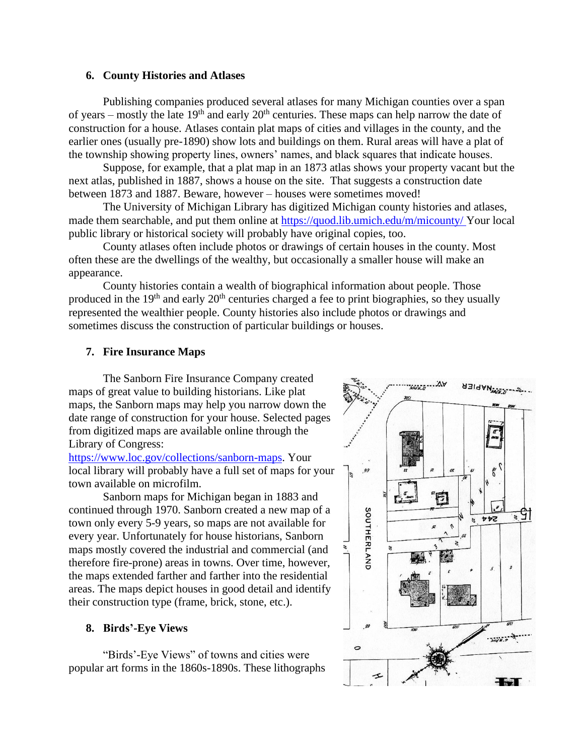### **6. County Histories and Atlases**

Publishing companies produced several atlases for many Michigan counties over a span of years – mostly the late  $19<sup>th</sup>$  and early  $20<sup>th</sup>$  centuries. These maps can help narrow the date of construction for a house. Atlases contain plat maps of cities and villages in the county, and the earlier ones (usually pre-1890) show lots and buildings on them. Rural areas will have a plat of the township showing property lines, owners' names, and black squares that indicate houses.

Suppose, for example, that a plat map in an 1873 atlas shows your property vacant but the next atlas, published in 1887, shows a house on the site. That suggests a construction date between 1873 and 1887. Beware, however – houses were sometimes moved!

The University of Michigan Library has digitized Michigan county histories and atlases, made them searchable, and put them online at<https://quod.lib.umich.edu/m/micounty/> Your local public library or historical society will probably have original copies, too.

County atlases often include photos or drawings of certain houses in the county. Most often these are the dwellings of the wealthy, but occasionally a smaller house will make an appearance.

County histories contain a wealth of biographical information about people. Those produced in the 19<sup>th</sup> and early 20<sup>th</sup> centuries charged a fee to print biographies, so they usually represented the wealthier people. County histories also include photos or drawings and sometimes discuss the construction of particular buildings or houses.

#### **7. Fire Insurance Maps**

The Sanborn Fire Insurance Company created maps of great value to building historians. Like plat maps, the Sanborn maps may help you narrow down the date range of construction for your house. Selected pages from digitized maps are available online through the Library of Congress:

[https://www.loc.gov/collections/sanborn-maps.](https://www.loc.gov/collections/sanborn-maps) Your local library will probably have a full set of maps for your town available on microfilm.

Sanborn maps for Michigan began in 1883 and continued through 1970. Sanborn created a new map of a town only every 5-9 years, so maps are not available for every year. Unfortunately for house historians, Sanborn maps mostly covered the industrial and commercial (and therefore fire-prone) areas in towns. Over time, however, the maps extended farther and farther into the residential areas. The maps depict houses in good detail and identify their construction type (frame, brick, stone, etc.).

### **8. Birds'-Eye Views**

"Birds'-Eye Views" of towns and cities were popular art forms in the 1860s-1890s. These lithographs

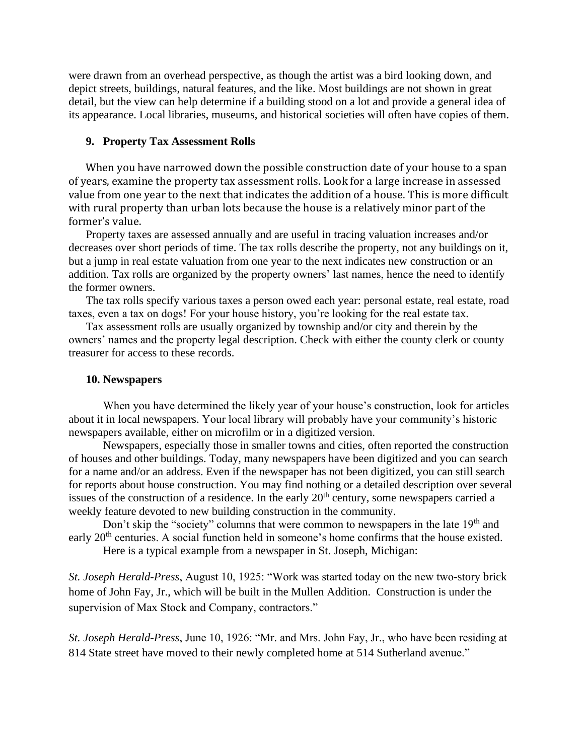were drawn from an overhead perspective, as though the artist was a bird looking down, and depict streets, buildings, natural features, and the like. Most buildings are not shown in great detail, but the view can help determine if a building stood on a lot and provide a general idea of its appearance. Local libraries, museums, and historical societies will often have copies of them.

#### **9. Property Tax Assessment Rolls**

When you have narrowed down the possible construction date of your house to a span of years, examine the property tax assessment rolls. Look for a large increase in assessed value from one year to the next that indicates the addition of a house. This is more difficult with rural property than urban lots because the house is a relatively minor part of the former's value.

Property taxes are assessed annually and are useful in tracing valuation increases and/or decreases over short periods of time. The tax rolls describe the property, not any buildings on it, but a jump in real estate valuation from one year to the next indicates new construction or an addition. Tax rolls are organized by the property owners' last names, hence the need to identify the former owners.

The tax rolls specify various taxes a person owed each year: personal estate, real estate, road taxes, even a tax on dogs! For your house history, you're looking for the real estate tax.

Tax assessment rolls are usually organized by township and/or city and therein by the owners' names and the property legal description. Check with either the county clerk or county treasurer for access to these records.

### **10. Newspapers**

When you have determined the likely year of your house's construction, look for articles about it in local newspapers. Your local library will probably have your community's historic newspapers available, either on microfilm or in a digitized version.

Newspapers, especially those in smaller towns and cities, often reported the construction of houses and other buildings. Today, many newspapers have been digitized and you can search for a name and/or an address. Even if the newspaper has not been digitized, you can still search for reports about house construction. You may find nothing or a detailed description over several issues of the construction of a residence. In the early  $20<sup>th</sup>$  century, some newspapers carried a weekly feature devoted to new building construction in the community.

Don't skip the "society" columns that were common to newspapers in the late 19<sup>th</sup> and early 20<sup>th</sup> centuries. A social function held in someone's home confirms that the house existed.

Here is a typical example from a newspaper in St. Joseph, Michigan:

*St. Joseph Herald-Press*, August 10, 1925: "Work was started today on the new two-story brick home of John Fay, Jr., which will be built in the Mullen Addition. Construction is under the supervision of Max Stock and Company, contractors."

*St. Joseph Herald-Press*, June 10, 1926: "Mr. and Mrs. John Fay, Jr., who have been residing at 814 State street have moved to their newly completed home at 514 Sutherland avenue."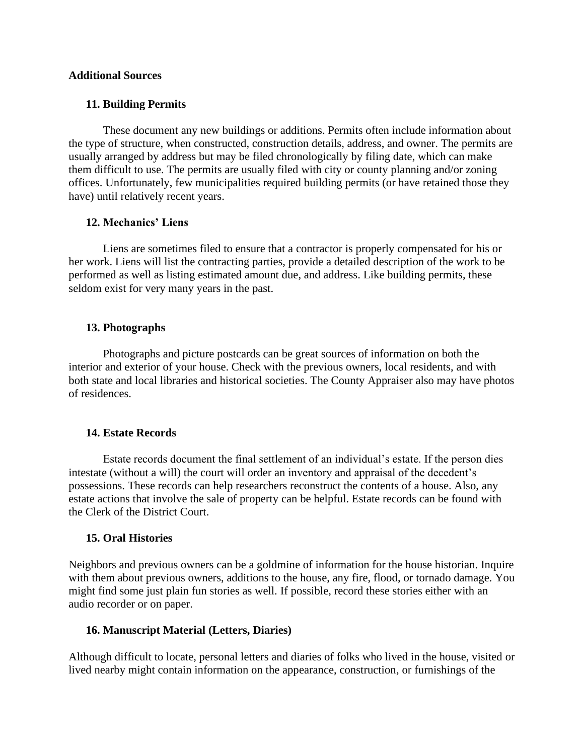### **Additional Sources**

### **11. Building Permits**

These document any new buildings or additions. Permits often include information about the type of structure, when constructed, construction details, address, and owner. The permits are usually arranged by address but may be filed chronologically by filing date, which can make them difficult to use. The permits are usually filed with city or county planning and/or zoning offices. Unfortunately, few municipalities required building permits (or have retained those they have) until relatively recent years.

### **12. Mechanics' Liens**

Liens are sometimes filed to ensure that a contractor is properly compensated for his or her work. Liens will list the contracting parties, provide a detailed description of the work to be performed as well as listing estimated amount due, and address. Like building permits, these seldom exist for very many years in the past.

### **13. Photographs**

Photographs and picture postcards can be great sources of information on both the interior and exterior of your house. Check with the previous owners, local residents, and with both state and local libraries and historical societies. The County Appraiser also may have photos of residences.

### **14. Estate Records**

Estate records document the final settlement of an individual's estate. If the person dies intestate (without a will) the court will order an inventory and appraisal of the decedent's possessions. These records can help researchers reconstruct the contents of a house. Also, any estate actions that involve the sale of property can be helpful. Estate records can be found with the Clerk of the District Court.

### **15. Oral Histories**

Neighbors and previous owners can be a goldmine of information for the house historian. Inquire with them about previous owners, additions to the house, any fire, flood, or tornado damage. You might find some just plain fun stories as well. If possible, record these stories either with an audio recorder or on paper.

### **16. Manuscript Material (Letters, Diaries)**

Although difficult to locate, personal letters and diaries of folks who lived in the house, visited or lived nearby might contain information on the appearance, construction, or furnishings of the